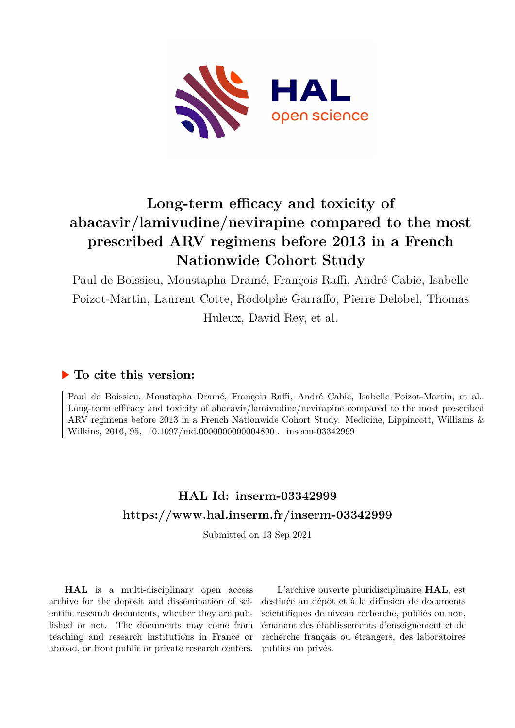

# **Long-term efficacy and toxicity of abacavir/lamivudine/nevirapine compared to the most prescribed ARV regimens before 2013 in a French Nationwide Cohort Study**

Paul de Boissieu, Moustapha Dramé, François Raffi, André Cabie, Isabelle Poizot-Martin, Laurent Cotte, Rodolphe Garraffo, Pierre Delobel, Thomas Huleux, David Rey, et al.

### **To cite this version:**

Paul de Boissieu, Moustapha Dramé, François Raffi, André Cabie, Isabelle Poizot-Martin, et al.. Long-term efficacy and toxicity of abacavir/lamivudine/nevirapine compared to the most prescribed ARV regimens before 2013 in a French Nationwide Cohort Study. Medicine, Lippincott, Williams & Wilkins, 2016, 95,  $10.1097/md.0000000000004890$ . inserm-03342999

### **HAL Id: inserm-03342999 <https://www.hal.inserm.fr/inserm-03342999>**

Submitted on 13 Sep 2021

**HAL** is a multi-disciplinary open access archive for the deposit and dissemination of scientific research documents, whether they are published or not. The documents may come from teaching and research institutions in France or abroad, or from public or private research centers.

L'archive ouverte pluridisciplinaire **HAL**, est destinée au dépôt et à la diffusion de documents scientifiques de niveau recherche, publiés ou non, émanant des établissements d'enseignement et de recherche français ou étrangers, des laboratoires publics ou privés.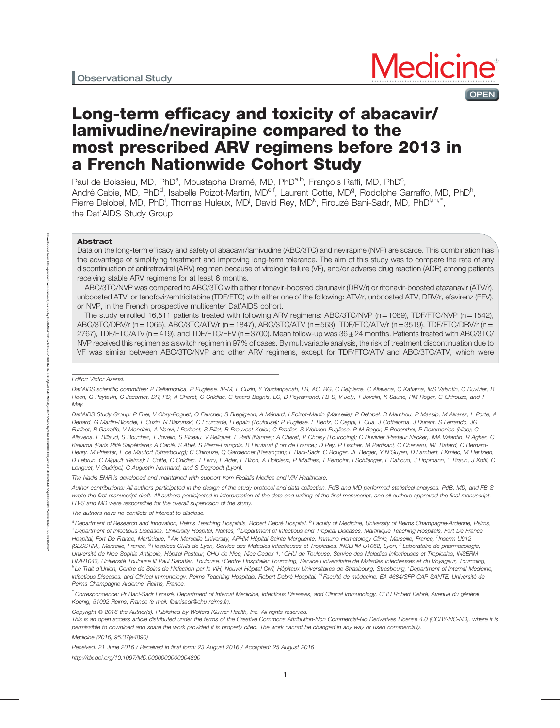



# Long-term efficacy and toxicity of abacavir/ lamivudine/nevirapine compared to the most prescribed ARV regimens before 2013 in a French Nationwide Cohort Study

Paul de Boissieu, MD, PhD<sup>a</sup>, Moustapha Dramé, MD, PhD<sup>a,b</sup>, François Raffi, MD, PhD<sup>c</sup>, André Cabie, MD, PhD<sup>d</sup>, Isabelle Poizot-Martin, MD<sup>e,f</sup>, Laurent Cotte, MD<sup>g</sup>, Rodolphe Garraffo, MD, PhD<sup>h</sup>, Pierre Delobel, MD, PhD<sup>i</sup>, Thomas Huleux, MD<sup>i</sup>, David Rey, MD<sup>k</sup>, Firouzé Bani-Sadr, MD, PhD<sup>i,m,\*</sup>, the Dat'AIDS Study Group

### Abstract

Data on the long-term efficacy and safety of abacavir/lamivudine (ABC/3TC) and nevirapine (NVP) are scarce. This combination has the advantage of simplifying treatment and improving long-term tolerance. The aim of this study was to compare the rate of any discontinuation of antiretroviral (ARV) regimen because of virologic failure (VF), and/or adverse drug reaction (ADR) among patients receiving stable ARV regimens for at least 6 months.

ABC/3TC/NVP was compared to ABC/3TC with either ritonavir-boosted darunavir (DRV/r) or ritonavir-boosted atazanavir (ATV/r), unboosted ATV, or tenofovir/emtricitabine (TDF/FTC) with either one of the following: ATV/r, unboosted ATV, DRV/r, efavirenz (EFV), or NVP, in the French prospective multicenter Dat'AIDS cohort.

The study enrolled 16,511 patients treated with following ARV regimens: ABC/3TC/NVP (n=1089), TDF/FTC/NVP (n=1542), ABC/3TC/DRV/r (n=1065), ABC/3TC/ATV/r (n=1847), ABC/3TC/ATV (n=563), TDF/FTC/ATV/r (n=3519), TDF/FTC/DRV/r (n=  $2767$ ), TDF/FTC/ATV (n=419), and TDF/FTC/EFV (n=3700). Mean follow-up was  $36\pm24$  months. Patients treated with ABC/3TC/ NVP received this regimen as a switch regimen in 97% of cases. By multivariable analysis, the risk of treatment discontinuation due to VF was similar between ABC/3TC/NVP and other ARV regimens, except for TDF/FTC/ATV and ABC/3TC/ATV, which were

#### Editor: Victor Asensi.

Dat'AIDS Study Group: P Enel, V Obry-Roguet, O Faucher, S Bregigeon, A Ménard, I Poizot-Martin (Marseille); P Delobel, B Marchou, P Massip, M Alvarez, L Porte, A Debard, G Martin-Blondel, L Cuzin, N Biezunski, C Fourcade, I Lepain (Toulouse); P Pugliese, L Bentz, C Ceppi, E Cua, J Cottalorda, J Durant, S Ferrando, JG Fuzibet, R Garraffo, V Mondain, A Naqvi, I Perbost, S Pillet, B Prouvost-Keller, C Pradier, S Wehrlen-Pugliese, P-M Roger, E Rosenthal, P Dellamonica (Nice); C Allavena, E Billaud, S Bouchez, T Jovelin, S Pineau, V Reliquet, F Raffi (Nantes); A Cheret, P Choisy (Tourcoing); C Duvivier (Pasteur Necker), MA Valantin, R Agher, C Katlama (Paris Pitié Salpétriere); A Cabié, S Abel, S Pierre-François, B Liautaud (Fort de France); D Rey, P Fischer, M Partisani, C Cheneau, ML Batard, C Bernard-Henry, M Priester, E de Mautort (Strasbourg); C Chirouze, Q Gardiennet (Besançon); F Bani-Sadr, C Rouger, JL Berger, Y N'Guyen, D Lambert, I Kmiec, M Hentzien, D Lebrun, C Migault (Reims); L Cotte, C Chidiac, T Ferry, F Ader, F Biron, A Boibieux, P Miailhes, T Perpoint, I Schlienger, F Dahoud, J Lippmann, E Braun, J Koffi, C Longuet, V Guéripel, C Augustin-Normand, and S Degroodt (Lyon).

The Nadis EMR is developed and maintained with support from Fedialis Medica and ViiV Healthcare.

Author contributions: All authors participated in the design of the study protocol and data collection. PdB and MD performed statistical analyses. PdB, MD, and FB-S wrote the first manuscript draft. All authors participated in interpretation of the data and writing of the final manuscript, and all authors approved the final manuscript. FB-S and MD were responsible for the overall supervision of the study.

#### The authors have no conflicts of interest to disclose.

<sup>a</sup> Department of Research and Innovation, Reims Teaching Hospitals, Robert Debré Hospital, <sup>b</sup> Faculty of Medicine, University of Reims Champagne-Ardenne, Reims, <sup>c</sup> Department of Infectious Diseases, University Hospital, Nantes, <sup>d</sup> Department of Infectious and Tropical Diseases, Martinique Teaching Hospitals, Fort-De-France Hospital, Fort-De-France, Martinique, <sup>e</sup> Aix-Marseille University, APHM Hôpital Sainte-Marguerite, Immuno-Hematology Clinic, Marseille, France, <sup>f</sup>Inserm U912 (SESSTIM), Marseille, France, <sup>g</sup> Hospices Civils de Lyon, Service des Maladies Infectieuses et Tropicales, INSERM U1052, Lyon, <sup>h</sup> Laboratoire de pharmacologie, Université de Nice-Sophia-Antipolis, Hôpital Pasteur, CHU de Nice, Nice Cedex 1, <sup>i</sup> CHU de Toulouse, Service des Maladies Infectieuses et Tropicales, INSERM UMR1043, Université Toulouse III Paul Sabatier, Toulouse, <sup>i</sup> Centre Hospitalier Tourcoing, Service Universitaire de Maladies Infectieuses et du Voyageur, Tourcoing, k Le Trait d'Union, Centre de Soins de l'Infection par le VIH, Nouvel Hôpital Civil, Hôpitaux Universitaires de Strasbourg, Strasbourg, <sup>i</sup> Department of Internal Medicine, Infectious Diseases, and Clinical Immunology, Reims Teaching Hospitals, Robert Debré Hospital, <sup>m</sup> Faculté de médecine, EA-4684/SFR CAP-SANTE, Université de Reims Champagne-Ardenne, Reims, France.

∗ Correspondence: Pr Bani-Sadr Firouzé, Department of Internal Medicine, Infectious Diseases, and Clinical Immunology, CHU Robert Debré, Avenue du général Koenig, 51092 Reims, France (e-mail: [fbanisadr@chu-reims.fr](mailto:fbanisadr@chu-reims.fr)).

Copyright © 2016 the Author(s). Published by Wolters Kluwer Health, Inc. All rights reserved.

This is an open access article distributed under the terms of the Creative Commons Attribution-Non Commercial-No Derivatives License 4.0 (CCBY-NC-ND), where it is permissible to download and share the work provided it is properly cited. The work cannot be changed in any way or used commercially.

Medicine (2016) 95:37(e4890)

Received: 21 June 2016 / Received in final form: 23 August 2016 / Accepted: 25 August 2016 <http://dx.doi.org/10.1097/MD.0000000000004890>

Dat'AIDS scientific committee: P Dellamonica, P Pugliese, IP-M, L Cuzin, Y Yazdanpanah, FR, AC, RG, C Delpierre, C Allavena, C Katlama, MS Valantin, C Duvivier, B Hoen, G Peytavin, C Jacomet, DR, PD, A Cheret, C Chidiac, C Isnard-Bagnis, LC, D Peyramond, FB-S, V Joly, T Jovelin, K Saune, PM Roger, C Chirouze, and T May.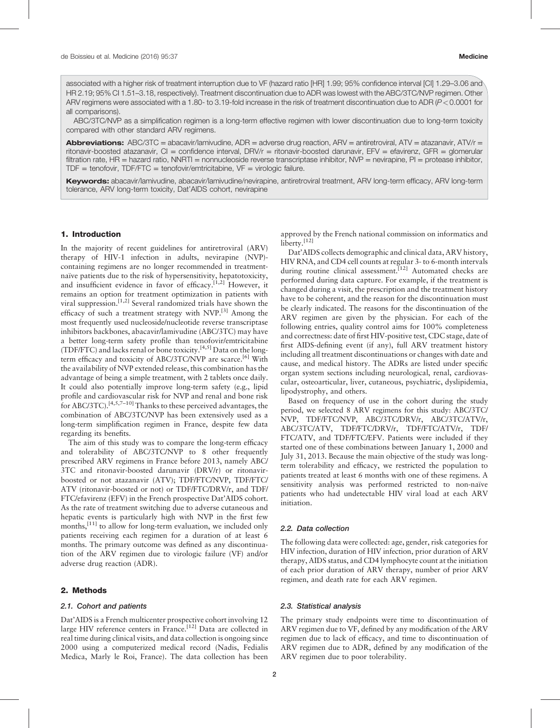associated with a higher risk of treatment interruption due to VF (hazard ratio [HR] 1.99; 95% confidence interval [CI] 1.29–3.06 and HR 2.19; 95% CI 1.51–3.18, respectively). Treatment discontinuation due to ADR was lowest with the ABC/3TC/NVP regimen. Other ARV regimens were associated with a 1.80- to 3.19-fold increase in the risk of treatment discontinuation due to ADR (P < 0.0001 for all comparisons).

ABC/3TC/NVP as a simplification regimen is a long-term effective regimen with lower discontinuation due to long-term toxicity compared with other standard ARV regimens.

Abbreviations:  $ABC/3TC = abacavir/lamivudine$ ,  $ADR = adverse drug reaction$ ,  $ARV = antiretroviral$ ,  $ATV = atazanavir$ ,  $ATV/r =$ ritonavir-boosted atazanavir, CI = confidence interval, DRV/r = ritonavir-boosted darunavir, EFV = efavirenz, GFR = glomerular filtration rate,  $HR =$  hazard ratio, NNRTI = nonnucleoside reverse transcriptase inhibitor, NVP = nevirapine,  $Pl =$  protease inhibitor,  $TDF =$  tenofovir,  $TDF/FTC =$  tenofovir/emtricitabine,  $VF =$  virologic failure.

Keywords: abacavir/lamivudine, abacavir/lamivudine/nevirapine, antiretroviral treatment, ARV long-term efficacy, ARV long-term tolerance, ARV long-term toxicity, Dat'AIDS cohort, nevirapine

#### 1. Introduction

In the majority of recent guidelines for antiretroviral (ARV) therapy of HIV-1 infection in adults, nevirapine (NVP) containing regimens are no longer recommended in treatmentnaïve patients due to the risk of hypersensitivity, hepatotoxicity, and insufficient evidence in favor of efficacy.<sup>[1,2]</sup> However, it remains an option for treatment optimization in patients with viral suppression.[1,2] Several randomized trials have shown the efficacy of such a treatment strategy with NVP.[3] Among the most frequently used nucleoside/nucleotide reverse transcriptase inhibitors backbones, abacavir/lamivudine (ABC/3TC) may have a better long-term safety profile than tenofovir/emtricitabine (TDF/FTC) and lacks renal or bone toxicity.<sup>[4,5]</sup> Data on the longterm efficacy and toxicity of ABC/3TC/NVP are scarce.<sup>[6]</sup> With the availability of NVP extended release, this combination has the advantage of being a simple treatment, with 2 tablets once daily. It could also potentially improve long-term safety (e.g., lipid profile and cardiovascular risk for NVP and renal and bone risk for ABC/3TC).<sup>[4,5,7-10]</sup> Thanks to these perceived advantages, the combination of ABC/3TC/NVP has been extensively used as a long-term simplification regimen in France, despite few data regarding its benefits.

The aim of this study was to compare the long-term efficacy and tolerability of ABC/3TC/NVP to 8 other frequently prescribed ARV regimens in France before 2013, namely ABC/ 3TC and ritonavir-boosted darunavir (DRV/r) or ritonavirboosted or not atazanavir (ATV); TDF/FTC/NVP, TDF/FTC/ ATV (ritonavir-boosted or not) or TDF/FTC/DRV/r, and TDF/ FTC/efavirenz (EFV) in the French prospective Dat'AIDS cohort. As the rate of treatment switching due to adverse cutaneous and hepatic events is particularly high with NVP in the first few months,  $[11]$  to allow for long-term evaluation, we included only patients receiving each regimen for a duration of at least 6 months. The primary outcome was defined as any discontinuation of the ARV regimen due to virologic failure (VF) and/or adverse drug reaction (ADR).

#### 2. Methods

#### 2.1. Cohort and patients

Dat'AIDS is a French multicenter prospective cohort involving 12 large HIV reference centers in France.<sup>[12]</sup> Data are collected in real time during clinical visits, and data collection is ongoing since 2000 using a computerized medical record (Nadis, Fedialis Medica, Marly le Roi, France). The data collection has been approved by the French national commission on informatics and liberty.<sup>[12]</sup>

Dat'AIDS collects demographic and clinical data, ARV history, HIV RNA, and CD4 cell counts at regular 3- to 6-month intervals during routine clinical assessment.<sup>[12]</sup> Automated checks are performed during data capture. For example, if the treatment is changed during a visit, the prescription and the treatment history have to be coherent, and the reason for the discontinuation must be clearly indicated. The reasons for the discontinuation of the ARV regimen are given by the physician. For each of the following entries, quality control aims for 100% completeness and correctness: date of first HIV-positive test, CDC stage, date of first AIDS-defining event (if any), full ARV treatment history including all treatment discontinuations or changes with date and cause, and medical history. The ADRs are listed under specific organ system sections including neurological, renal, cardiovascular, osteoarticular, liver, cutaneous, psychiatric, dyslipidemia, lipodystrophy, and others.

Based on frequency of use in the cohort during the study period, we selected 8 ARV regimens for this study: ABC/3TC/ NVP, TDF/FTC/NVP, ABC/3TC/DRV/r, ABC/3TC/ATV/r, ABC/3TC/ATV, TDF/FTC/DRV/r, TDF/FTC/ATV/r, TDF/ FTC/ATV, and TDF/FTC/EFV. Patients were included if they started one of these combinations between January 1, 2000 and July 31, 2013. Because the main objective of the study was longterm tolerability and efficacy, we restricted the population to patients treated at least 6 months with one of these regimens. A sensitivity analysis was performed restricted to non-naïve patients who had undetectable HIV viral load at each ARV initiation.

#### 2.2. Data collection

The following data were collected: age, gender, risk categories for HIV infection, duration of HIV infection, prior duration of ARV therapy, AIDS status, and CD4 lymphocyte count at the initiation of each prior duration of ARV therapy, number of prior ARV regimen, and death rate for each ARV regimen.

#### 2.3. Statistical analysis

The primary study endpoints were time to discontinuation of ARV regimen due to VF, defined by any modification of the ARV regimen due to lack of efficacy, and time to discontinuation of ARV regimen due to ADR, defined by any modification of the ARV regimen due to poor tolerability.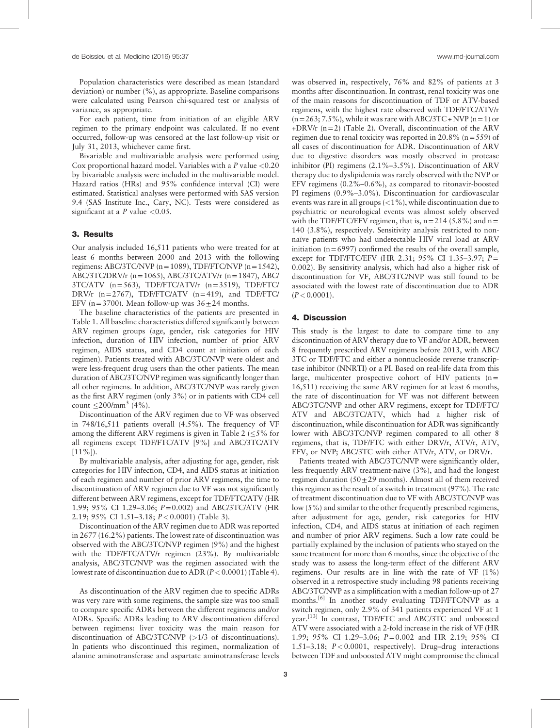Population characteristics were described as mean (standard deviation) or number (%), as appropriate. Baseline comparisons were calculated using Pearson chi-squared test or analysis of variance, as appropriate.

For each patient, time from initiation of an eligible ARV regimen to the primary endpoint was calculated. If no event occurred, follow-up was censored at the last follow-up visit or July 31, 2013, whichever came first.

Bivariable and multivariable analysis were performed using Cox proportional hazard model. Variables with a  $P$  value  $\lt 0.20$ by bivariable analysis were included in the multivariable model. Hazard ratios (HRs) and 95% confidence interval (CI) were estimated. Statistical analyses were performed with SAS version 9.4 (SAS Institute Inc., Cary, NC). Tests were considered as significant at a  $P$  value <0.05.

#### 3. Results

Our analysis included 16,511 patients who were treated for at least 6 months between 2000 and 2013 with the following regimens: ABC/3TC/NVP ( $n=1089$ ), TDF/FTC/NVP ( $n=1542$ ), ABC/3TC/DRV/r ( $n=1065$ ), ABC/3TC/ATV/r ( $n=1847$ ), ABC/ 3TC/ATV (n=563), TDF/FTC/ATV/r (n=3519), TDF/FTC/ DRV/r (n=2767), TDF/FTC/ATV (n=419), and TDF/FTC/ EFV (n=3700). Mean follow-up was  $36 \pm 24$  months.

The baseline characteristics of the patients are presented in Table 1. All baseline characteristics differed significantly between ARV regimen groups (age, gender, risk categories for HIV infection, duration of HIV infection, number of prior ARV regimen, AIDS status, and CD4 count at initiation of each regimen). Patients treated with ABC/3TC/NVP were oldest and were less-frequent drug users than the other patients. The mean duration of ABC/3TC/NVP regimen was significantly longer than all other regimens. In addition, ABC/3TC/NVP was rarely given as the first ARV regimen (only 3%) or in patients with CD4 cell count  $\langle 200/\text{mm}^3 (4\% )$ .

Discontinuation of the ARV regimen due to VF was observed in 748/16,511 patients overall (4.5%). The frequency of VF among the different ARV regimens is given in Table 2 ( $\leq$ 5% for all regimens except TDF/FTC/ATV [9%] and ABC/3TC/ATV  $[11\%]$ .

By multivariable analysis, after adjusting for age, gender, risk categories for HIV infection, CD4, and AIDS status at initiation of each regimen and number of prior ARV regimens, the time to discontinuation of ARV regimen due to VF was not significantly different between ARV regimens, except for TDF/FTC/ATV (HR 1.99; 95% CI 1.29–3.06; P=0.002) and ABC/3TC/ATV (HR 2.19; 95% CI 1.51–3.18; P<0.0001) (Table 3).

Discontinuation of the ARV regimen due to ADR was reported in 2677 (16.2%) patients. The lowest rate of discontinuation was observed with the ABC/3TC/NVP regimen (9%) and the highest with the TDF/FTC/ATV/r regimen (23%). By multivariable analysis, ABC/3TC/NVP was the regimen associated with the lowest rate of discontinuation due to ADR ( $P < 0.0001$ ) (Table 4).

As discontinuation of the ARV regimen due to specific ADRs was very rare with some regimens, the sample size was too small to compare specific ADRs between the different regimens and/or ADRs. Specific ADRs leading to ARV discontinuation differed between regimens: liver toxicity was the main reason for discontinuation of ABC/3TC/NVP (>1/3 of discontinuations). In patients who discontinued this regimen, normalization of alanine aminotransferase and aspartate aminotransferase levels

was observed in, respectively, 76% and 82% of patients at 3 months after discontinuation. In contrast, renal toxicity was one of the main reasons for discontinuation of TDF or ATV-based regimens, with the highest rate observed with TDF/FTC/ATV/r  $(n=263; 7.5\%)$ , while it was rare with ABC/3TC + NVP  $(n=1)$  or +DRV/r (n=2) (Table 2). Overall, discontinuation of the ARV regimen due to renal toxicity was reported in 20.8% ( $n=559$ ) of all cases of discontinuation for ADR. Discontinuation of ARV due to digestive disorders was mostly observed in protease inhibitor (PI) regimens (2.1%–3.5%). Discontinuation of ARV therapy due to dyslipidemia was rarely observed with the NVP or EFV regimens (0.2%–0.6%), as compared to ritonavir-boosted PI regimens (0.9%–3.0%). Discontinuation for cardiovascular events was rare in all groups  $(<1\%)$ , while discontinuation due to psychiatric or neurological events was almost solely observed with the TDF/FTC/EFV regimen, that is,  $n=214$  (5.8%) and  $n=$ 140 (3.8%), respectively. Sensitivity analysis restricted to nonnaïve patients who had undetectable HIV viral load at ARV initiation  $(n=6997)$  confirmed the results of the overall sample, except for TDF/FTC/EFV (HR 2.31; 95% CI 1.35-3.97;  $P=$ 0.002). By sensitivity analysis, which had also a higher risk of discontinuation for VF, ABC/3TC/NVP was still found to be associated with the lowest rate of discontinuation due to ADR  $(P < 0.0001)$ .

#### 4. Discussion

This study is the largest to date to compare time to any discontinuation of ARV therapy due to VF and/or ADR, between 8 frequently prescribed ARV regimens before 2013, with ABC/ 3TC or TDF/FTC and either a nonnucleoside reverse transcriptase inhibitor (NNRTI) or a PI. Based on real-life data from this large, multicenter prospective cohort of HIV patients (n= 16,511) receiving the same ARV regimen for at least 6 months, the rate of discontinuation for VF was not different between ABC/3TC/NVP and other ARV regimens, except for TDF/FTC/ ATV and ABC/3TC/ATV, which had a higher risk of discontinuation, while discontinuation for ADR was significantly lower with ABC/3TC/NVP regimen compared to all other 8 regimens, that is, TDF/FTC with either DRV/r, ATV/r, ATV, EFV, or NVP; ABC/3TC with either ATV/r, ATV, or DRV/r.

Patients treated with ABC/3TC/NVP were significantly older, less frequently ARV treatment-naïve (3%), and had the longest regimen duration ( $50±29$  months). Almost all of them received this regimen as the result of a switch in treatment (97%). The rate of treatment discontinuation due to VF with ABC/3TC/NVP was low (5%) and similar to the other frequently prescribed regimens, after adjustment for age, gender, risk categories for HIV infection, CD4, and AIDS status at initiation of each regimen and number of prior ARV regimens. Such a low rate could be partially explained by the inclusion of patients who stayed on the same treatment for more than 6 months, since the objective of the study was to assess the long-term effect of the different ARV regimens. Our results are in line with the rate of VF (1%) observed in a retrospective study including 98 patients receiving ABC/3TC/NVP as a simplification with a median follow-up of 27 months.[6] In another study evaluating TDF/FTC/NVP as a switch regimen, only 2.9% of 341 patients experienced VF at 1 year.[13] In contrast, TDF/FTC and ABC/3TC and unboosted ATV were associated with a 2-fold increase in the risk of VF (HR 1.99; 95% CI 1.29–3.06; P=0.002 and HR 2.19; 95% CI 1.51–3.18; P<0.0001, respectively). Drug–drug interactions between TDF and unboosted ATV might compromise the clinical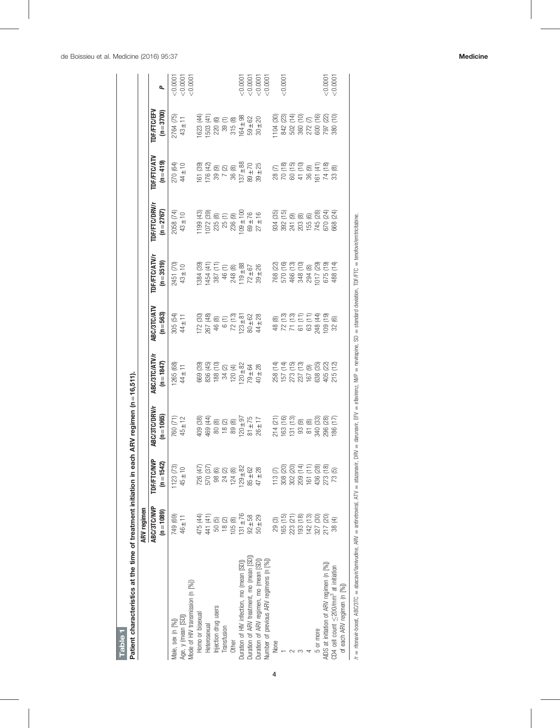Table 1

Table 1

| $\begin{smallmatrix} \mathbb{Q} & \mathbb{G} & \mathbb{G} & \mathbb{G} & \mathbb{G} \\ \mathbb{Q} & \mathbb{C} & \mathbb{C} & \mathbb{C} & \mathbb{G} \end{smallmatrix}$<br>570<br>466<br>675<br>348<br>294<br>488<br>768<br>ABC/3TC/ATV<br>$(n = 563)$<br>305 (54)<br>267 (48)<br>72 (13)<br>$44 \pm 28$<br>(13)<br>ිටි<br>EE£<br>(19)<br>$44 \pm 11$<br>$123 + 81$<br>$\overline{30}$<br>$80 + 62$<br>$^{46}$ (8)<br>6 (1)<br>ම<br>46<br>$\mathbb{S}$<br>248<br>109<br>$48$ $72$<br>$\overleftarrow{\mathrm{o}}$<br>$\overline{\wedge}$<br>32<br>ABC/3TC/ATV/r<br>$(n = 1847)$<br>265 (68)<br>$\begin{pmatrix} 1 & 1 \\ 1 & 1 \end{pmatrix}$<br>$\begin{pmatrix} 3 \\ -2 \end{pmatrix}$<br>836 (45)<br>258 (14)<br>(35)<br>(22)<br>669 (39)<br>188 (10)<br>$120 + 82$<br>$40 \pm 28$<br>120(4)<br>$79 + 64$<br>$44 \pm 11$<br>$34(2)$<br>273<br>638<br>405<br>237<br>157<br>167<br>ABC/3TC/DRV/r<br>$(n = 1065)$<br>$120 \pm 97$<br>760 (71)<br>45±12<br>469 (44)<br>163 (16)<br>131 (13)<br>$\widetilde{\mathcal{B}}$<br>409 (38)<br>$81 \pm 75$<br>(28)<br>$26 + 17$<br>$\left( \sum_{i=1}^{n} a_i \right)$<br>8<br>8 1 1 8<br>8 1 8<br>ම් ම<br>214<br>$\Xi$ g g $\Xi$<br>340<br>296<br>86<br><b>TDF/FTC/NVP</b><br>$(n = 1542)$<br>1123 (73)<br>726 (47)<br>570 (37)<br>98 (6)<br>24 (2)<br>E<br>E<br>E<br>E<br>209 (14)<br>161 (11)<br>436 (28)<br>273 (18)<br>308 (20)<br>302 (20)<br>$129 + 82$<br>$45 + 10$<br>$85\pm62$<br>$47 + 28$<br>124 (8)<br>113(7)<br>ම<br>73<br>ABC/3TC/NVP<br>$(n = 1089)$<br>$131 \pm 76$<br>475 (44)<br>165 (15)<br>749 (69)<br>441 (41)<br>$92 + 58$<br>$50 \pm 29$<br>$\begin{array}{c} 193 \\ 142 \\ 327 \\ 30 \\ 217 \\ 20 \\ \end{array}$<br>46±11<br>223 (21)<br>$50(5)$<br>18(2)<br>105(8)<br>€<br>29(3)<br>38<br>Duration of ARV treatment, mo (mean [SD])<br>Number of previous ARV regimens (n [%])<br>Duration of ARV regimen, mo (mean [SD])<br>Duration of HIV infection, mo (mean [SD])<br>AIDS at initiation of ARV regimen (n [%])<br>CD4 cell count $\leq$ 200/mm <sup>3</sup> at initiation<br>Mode of HIV transmission (n [%])<br>Injection drug users<br>Homo or bisexual<br>Age, y (mean [SD])<br>Male, sex (n [%])<br>Heterosexual<br>Transfusion<br>5 or more<br>None<br><b>Other</b><br>S |                  |   |                                                     |                                         |                                  |                                    |          |
|--------------------------------------------------------------------------------------------------------------------------------------------------------------------------------------------------------------------------------------------------------------------------------------------------------------------------------------------------------------------------------------------------------------------------------------------------------------------------------------------------------------------------------------------------------------------------------------------------------------------------------------------------------------------------------------------------------------------------------------------------------------------------------------------------------------------------------------------------------------------------------------------------------------------------------------------------------------------------------------------------------------------------------------------------------------------------------------------------------------------------------------------------------------------------------------------------------------------------------------------------------------------------------------------------------------------------------------------------------------------------------------------------------------------------------------------------------------------------------------------------------------------------------------------------------------------------------------------------------------------------------------------------------------------------------------------------------------------------------------------------------------------------------------------------------------------------------------------------------------------------------------------------------------------------------------------------------------------------------------------------------------------------------------------------------------------------------------------------------------------------------------------------------------------------------------------------------------------------------------------------------|------------------|---|-----------------------------------------------------|-----------------------------------------|----------------------------------|------------------------------------|----------|
|                                                                                                                                                                                                                                                                                                                                                                                                                                                                                                                                                                                                                                                                                                                                                                                                                                                                                                                                                                                                                                                                                                                                                                                                                                                                                                                                                                                                                                                                                                                                                                                                                                                                                                                                                                                                                                                                                                                                                                                                                                                                                                                                                                                                                                                        |                  |   | <b>TDF/FTC/ATV/r</b><br>$(n = 3519)$                | TDF/FTC/DRV/r<br>(n $=$ 2767)           | <b>TDF/FTC/ATV</b><br>$(n=419)$  | <b>TDF/FTC/EFV</b><br>$(n = 3700)$ | ٩        |
|                                                                                                                                                                                                                                                                                                                                                                                                                                                                                                                                                                                                                                                                                                                                                                                                                                                                                                                                                                                                                                                                                                                                                                                                                                                                                                                                                                                                                                                                                                                                                                                                                                                                                                                                                                                                                                                                                                                                                                                                                                                                                                                                                                                                                                                        |                  |   | 2451 (70)                                           | 2058 (74)                               | 270 (64)                         | 2764 (75)                          | < 0.000  |
|                                                                                                                                                                                                                                                                                                                                                                                                                                                                                                                                                                                                                                                                                                                                                                                                                                                                                                                                                                                                                                                                                                                                                                                                                                                                                                                                                                                                                                                                                                                                                                                                                                                                                                                                                                                                                                                                                                                                                                                                                                                                                                                                                                                                                                                        |                  |   | $43 + 10$                                           | $43 + 10$                               | $44 \pm 10$                      | $43 \pm 11$                        | < 0.0001 |
|                                                                                                                                                                                                                                                                                                                                                                                                                                                                                                                                                                                                                                                                                                                                                                                                                                                                                                                                                                                                                                                                                                                                                                                                                                                                                                                                                                                                                                                                                                                                                                                                                                                                                                                                                                                                                                                                                                                                                                                                                                                                                                                                                                                                                                                        |                  |   |                                                     |                                         |                                  |                                    | < 0.0001 |
|                                                                                                                                                                                                                                                                                                                                                                                                                                                                                                                                                                                                                                                                                                                                                                                                                                                                                                                                                                                                                                                                                                                                                                                                                                                                                                                                                                                                                                                                                                                                                                                                                                                                                                                                                                                                                                                                                                                                                                                                                                                                                                                                                                                                                                                        |                  |   | 384 (39)                                            | 199 (43)                                | (39)<br>51                       | 623 (44)                           |          |
|                                                                                                                                                                                                                                                                                                                                                                                                                                                                                                                                                                                                                                                                                                                                                                                                                                                                                                                                                                                                                                                                                                                                                                                                                                                                                                                                                                                                                                                                                                                                                                                                                                                                                                                                                                                                                                                                                                                                                                                                                                                                                                                                                                                                                                                        |                  |   | 1454 (41)                                           |                                         | 176 (42)                         |                                    |          |
|                                                                                                                                                                                                                                                                                                                                                                                                                                                                                                                                                                                                                                                                                                                                                                                                                                                                                                                                                                                                                                                                                                                                                                                                                                                                                                                                                                                                                                                                                                                                                                                                                                                                                                                                                                                                                                                                                                                                                                                                                                                                                                                                                                                                                                                        |                  |   | 387 (11)                                            | $\frac{1072}{235}$ (8)<br>235<br>25 (1) |                                  | 1503 (41)<br>220 (6)               |          |
|                                                                                                                                                                                                                                                                                                                                                                                                                                                                                                                                                                                                                                                                                                                                                                                                                                                                                                                                                                                                                                                                                                                                                                                                                                                                                                                                                                                                                                                                                                                                                                                                                                                                                                                                                                                                                                                                                                                                                                                                                                                                                                                                                                                                                                                        |                  |   | 46(1)                                               |                                         | $39(9)$<br>$7(2)$                | 39(1)                              |          |
|                                                                                                                                                                                                                                                                                                                                                                                                                                                                                                                                                                                                                                                                                                                                                                                                                                                                                                                                                                                                                                                                                                                                                                                                                                                                                                                                                                                                                                                                                                                                                                                                                                                                                                                                                                                                                                                                                                                                                                                                                                                                                                                                                                                                                                                        |                  |   | 248 (8)                                             | 236 (9)                                 | 36 (8)                           | 315 (8)                            |          |
|                                                                                                                                                                                                                                                                                                                                                                                                                                                                                                                                                                                                                                                                                                                                                                                                                                                                                                                                                                                                                                                                                                                                                                                                                                                                                                                                                                                                                                                                                                                                                                                                                                                                                                                                                                                                                                                                                                                                                                                                                                                                                                                                                                                                                                                        |                  |   | $119 + 88$                                          | $001 + 60$                              | $137 + 88$                       | $164 + 98$                         | < 0.0001 |
|                                                                                                                                                                                                                                                                                                                                                                                                                                                                                                                                                                                                                                                                                                                                                                                                                                                                                                                                                                                                                                                                                                                                                                                                                                                                                                                                                                                                                                                                                                                                                                                                                                                                                                                                                                                                                                                                                                                                                                                                                                                                                                                                                                                                                                                        |                  |   | $72 + 67$                                           | $69 + 76$                               | $02 \pm 68$                      | $59 + 62$                          | < 0.0001 |
|                                                                                                                                                                                                                                                                                                                                                                                                                                                                                                                                                                                                                                                                                                                                                                                                                                                                                                                                                                                                                                                                                                                                                                                                                                                                                                                                                                                                                                                                                                                                                                                                                                                                                                                                                                                                                                                                                                                                                                                                                                                                                                                                                                                                                                                        |                  |   | $39 + 26$                                           | $4 + 16$<br>27                          | $39 + 25$                        | $30 \pm 20$                        | < 0.0001 |
|                                                                                                                                                                                                                                                                                                                                                                                                                                                                                                                                                                                                                                                                                                                                                                                                                                                                                                                                                                                                                                                                                                                                                                                                                                                                                                                                                                                                                                                                                                                                                                                                                                                                                                                                                                                                                                                                                                                                                                                                                                                                                                                                                                                                                                                        |                  |   |                                                     |                                         |                                  |                                    | < 0.0001 |
|                                                                                                                                                                                                                                                                                                                                                                                                                                                                                                                                                                                                                                                                                                                                                                                                                                                                                                                                                                                                                                                                                                                                                                                                                                                                                                                                                                                                                                                                                                                                                                                                                                                                                                                                                                                                                                                                                                                                                                                                                                                                                                                                                                                                                                                        |                  |   |                                                     | 934 (35)                                | $\odot$                          | 104(30)                            |          |
|                                                                                                                                                                                                                                                                                                                                                                                                                                                                                                                                                                                                                                                                                                                                                                                                                                                                                                                                                                                                                                                                                                                                                                                                                                                                                                                                                                                                                                                                                                                                                                                                                                                                                                                                                                                                                                                                                                                                                                                                                                                                                                                                                                                                                                                        |                  |   |                                                     | 392                                     | 8<br>28                          | 842                                | < 0.0007 |
|                                                                                                                                                                                                                                                                                                                                                                                                                                                                                                                                                                                                                                                                                                                                                                                                                                                                                                                                                                                                                                                                                                                                                                                                                                                                                                                                                                                                                                                                                                                                                                                                                                                                                                                                                                                                                                                                                                                                                                                                                                                                                                                                                                                                                                                        |                  |   |                                                     | 241                                     | ල ග<br>ප ප<br>$\rm 60$           | 33<br>25<br>502                    |          |
|                                                                                                                                                                                                                                                                                                                                                                                                                                                                                                                                                                                                                                                                                                                                                                                                                                                                                                                                                                                                                                                                                                                                                                                                                                                                                                                                                                                                                                                                                                                                                                                                                                                                                                                                                                                                                                                                                                                                                                                                                                                                                                                                                                                                                                                        |                  |   |                                                     | $\overbrace{1}$ o o o<br>203            | $\overline{c}$<br>$\frac{4}{10}$ | 360                                |          |
|                                                                                                                                                                                                                                                                                                                                                                                                                                                                                                                                                                                                                                                                                                                                                                                                                                                                                                                                                                                                                                                                                                                                                                                                                                                                                                                                                                                                                                                                                                                                                                                                                                                                                                                                                                                                                                                                                                                                                                                                                                                                                                                                                                                                                                                        |                  |   |                                                     | 155                                     |                                  | ΘG<br>Θ<br>272                     |          |
|                                                                                                                                                                                                                                                                                                                                                                                                                                                                                                                                                                                                                                                                                                                                                                                                                                                                                                                                                                                                                                                                                                                                                                                                                                                                                                                                                                                                                                                                                                                                                                                                                                                                                                                                                                                                                                                                                                                                                                                                                                                                                                                                                                                                                                                        |                  |   | $(62)$ 7 (10)                                       | (28)<br>745                             | 0.50                             | 600                                |          |
|                                                                                                                                                                                                                                                                                                                                                                                                                                                                                                                                                                                                                                                                                                                                                                                                                                                                                                                                                                                                                                                                                                                                                                                                                                                                                                                                                                                                                                                                                                                                                                                                                                                                                                                                                                                                                                                                                                                                                                                                                                                                                                                                                                                                                                                        |                  |   | $\left( \begin{matrix} 0 \\ 1 \end{matrix} \right)$ | (24)<br>670                             | $\frac{1}{6}$                    | E 22)<br>797                       | < 0.0007 |
|                                                                                                                                                                                                                                                                                                                                                                                                                                                                                                                                                                                                                                                                                                                                                                                                                                                                                                                                                                                                                                                                                                                                                                                                                                                                                                                                                                                                                                                                                                                                                                                                                                                                                                                                                                                                                                                                                                                                                                                                                                                                                                                                                                                                                                                        | (12)<br>215<br>E | ⊚ | (14)<br>ए                                           | (24)<br>668                             | $\circledcirc$<br>SS             | E)<br>380                          | < 0.0001 |
| of each ARV regimen (n [%])                                                                                                                                                                                                                                                                                                                                                                                                                                                                                                                                                                                                                                                                                                                                                                                                                                                                                                                                                                                                                                                                                                                                                                                                                                                                                                                                                                                                                                                                                                                                                                                                                                                                                                                                                                                                                                                                                                                                                                                                                                                                                                                                                                                                                            |                  |   |                                                     |                                         |                                  |                                    |          |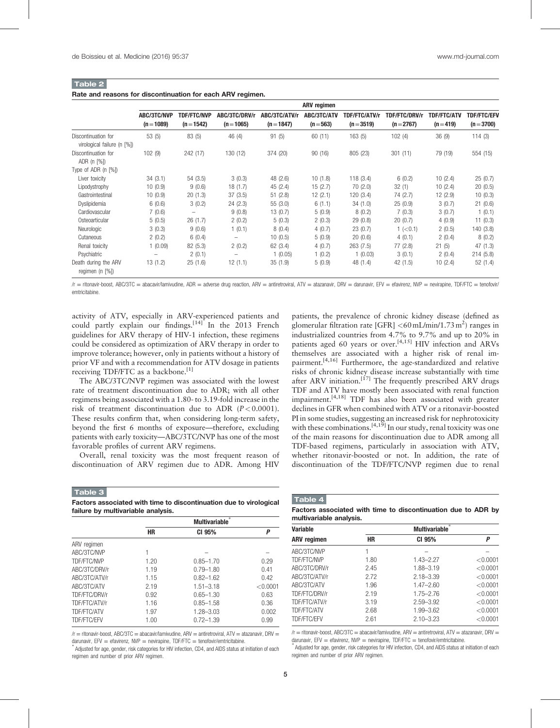| Table 2 |                                                            |  |  |
|---------|------------------------------------------------------------|--|--|
|         | Rate and reasons for discontinuation for each ARV regimen. |  |  |

|                                                    |                        |                    |                        |               | <b>ARV</b> regimen |               |               |                    |                    |
|----------------------------------------------------|------------------------|--------------------|------------------------|---------------|--------------------|---------------|---------------|--------------------|--------------------|
|                                                    | ABC/3TC/NVP            | <b>TDF/FTC/NVP</b> | ABC/3TC/DRV/r          | ABC/3TC/ATV/r | ABC/3TC/ATV        | TDF/FTC/ATV/r | TDF/FTC/DRV/r | <b>TDF/FTC/ATV</b> | <b>TDF/FTC/EFV</b> |
|                                                    | $(n=1089)$             | $(n=1542)$         | $(n = 1065)$           | $(n=1847)$    | $(n = 563)$        | $(n = 3519)$  | $(n=2767)$    | $(n=419)$          | $(n=3700)$         |
| Discontinuation for<br>virological failure (n [%]) | 53(5)                  | 83 (5)             | 46 (4)                 | 91(5)         | 60(11)             | 163(5)        | 102(4)        | 36(9)              | 114(3)             |
| Discontinuation for                                | 102(9)                 | 242 (17)           | 130 (12)               | 374 (20)      | 90(16)             | 805 (23)      | 301(11)       | 79 (19)            | 554 (15)           |
| ADR (n [%])                                        |                        |                    |                        |               |                    |               |               |                    |                    |
| Type of ADR $(n \, 1\%)$                           |                        |                    |                        |               |                    |               |               |                    |                    |
| Liver toxicity                                     | 34(3.1)                | 54 (3.5)           | 3(0.3)                 | 48 (2.6)      | 10(1.8)            | 118(3.4)      | 6(0.2)        | 10(2.4)            | 25(0.7)            |
| Lipodystrophy                                      | 10(0.9)                | 9(0.6)             | 18(1.7)                | 45(2.4)       | 15(2.7)            | 70(2.0)       | 32(1)         | 10(2.4)            | 20(0.5)            |
| Gastrointestinal                                   | 10(0.9)                | 20(1.3)            | 37(3.5)                | 51(2.8)       | 12(2.1)            | 120 (3.4)     | 74 (2.7)      | 12(2.9)            | 10(0.3)            |
| Dyslipidemia                                       | 6(0.6)                 | 3(0.2)             | 24(2.3)                | 55(3.0)       | 6(1.1)             | 34(1.0)       | 25(0.9)       | 3(0.7)             | 21(0.6)            |
| Cardiovascular                                     | 7(0.6)                 | -                  | 9(0.8)                 | 13(0.7)       | 5(0.9)             | 8(0.2)        | 7(0.3)        | 3(0.7)             | 1(0.1)             |
| Osteoarticular                                     | 5(0.5)                 | 26(1.7)            | 2(0.2)                 | 5(0.3)        | 2(0.3)             | 29(0.8)       | 20(0.7)       | 4(0.9)             | 11(0.3)            |
| Neurologic                                         | 3(0.3)                 | 9(0.6)             | 1(0.1)                 | 8(0.4)        | 4(0.7)             | 23(0.7)       | $1 (-0.1)$    | 2(0.5)             | 140 (3.8)          |
| Cutaneous                                          | 2(0.2)                 | 6(0.4)             |                        | 10(0.5)       | 5(0.9)             | 20(0.6)       | 4(0.1)        | 2(0.4)             | 8(0.2)             |
| Renal toxicity                                     | 1(0.09)                | 82(5.3)            | 2(0.2)                 | 62(3.4)       | 4(0.7)             | 263(7.5)      | 77 (2.8)      | 21(5)              | 47(1.3)            |
| Psychiatric                                        | $\qquad \qquad \qquad$ | 2(0.1)             | $\qquad \qquad \qquad$ | 1(0.05)       | 1(0.2)             | 1(0.03)       | 3(0.1)        | 2(0.4)             | 214(5.8)           |
| Death during the ARV<br>regimen (n $[%]$ )         | 13(1.2)                | 25(1.6)            | 12(1.1)                | 35(1.9)       | 5(0.9)             | 48 (1.4)      | 42 (1.5)      | 10(2.4)            | 52(1.4)            |

 $r =$  ritonavir-boost, ABC/3TC = abacavir/lamivudine, ADR = adverse drug reaction, ARV = antiretroviral, ATV = atazanavir, DRV = darunavir, EFV = efavirenz, NVP = nevirapine, TDF/FTC = tenofovir/ emtricitabine.

activity of ATV, especially in ARV-experienced patients and could partly explain our findings.<sup>[14]</sup> In the  $2013$  French guidelines for ARV therapy of HIV-1 infection, these regimens could be considered as optimization of ARV therapy in order to improve tolerance; however, only in patients without a history of prior VF and with a recommendation for ATV dosage in patients receiving TDF/FTC as a backbone.<sup>[1]</sup>

The ABC/3TC/NVP regimen was associated with the lowest rate of treatment discontinuation due to ADR; with all other regimens being associated with a 1.80- to 3.19-fold increase in the risk of treatment discontinuation due to ADR  $(P<0.0001)$ . These results confirm that, when considering long-term safety, beyond the first 6 months of exposure—therefore, excluding patients with early toxicity—ABC/3TC/NVP has one of the most favorable profiles of current ARV regimens.

Overall, renal toxicity was the most frequent reason of discontinuation of ARV regimen due to ADR. Among HIV patients, the prevalence of chronic kidney disease (defined as glomerular filtration rate [GFR] <60 mL/min/1.73 m<sup>2</sup>) ranges in industrialized countries from 4.7% to 9.7% and up to 20% in patients aged 60 years or over.<sup>[4,15]</sup> HIV infection and ARVs themselves are associated with a higher risk of renal impairment.<sup>[4,16]</sup> Furthermore, the age-standardized and relative risks of chronic kidney disease increase substantially with time after ARV initiation.<sup>[17]</sup> The frequently prescribed ARV drugs TDF and ATV have mostly been associated with renal function impairment. $[4,18]$  TDF has also been associated with greater declines in GFR when combined with ATV or a ritonavir-boosted PI in some studies, suggesting an increased risk for nephrotoxicity with these combinations.  $[4,19]$  In our study, renal toxicity was one of the main reasons for discontinuation due to ADR among all TDF-based regimens, particularly in association with ATV, whether ritonavir-boosted or not. In addition, the rate of discontinuation of the TDF/FTC/NVP regimen due to renal

Table 3

Factors associated with time to discontinuation due to virological failure by multivariable analysis.

|                    | <b>Multivariable</b> |               |          |  |  |  |
|--------------------|----------------------|---------------|----------|--|--|--|
|                    | <b>HR</b>            | CI 95%        | Ρ        |  |  |  |
| ARV regimen        |                      |               |          |  |  |  |
| ABC/3TC/NVP        |                      |               |          |  |  |  |
| TDF/FTC/NVP        | 1.20                 | $0.85 - 1.70$ | 0.29     |  |  |  |
| ABC/3TC/DRV/r      | 1.19                 | $0.79 - 1.80$ | 0.41     |  |  |  |
| ABC/3TC/ATV/r      | 1.15                 | $0.82 - 1.62$ | 0.42     |  |  |  |
| ABC/3TC/ATV        | 2.19                 | $1.51 - 3.18$ | < 0.0001 |  |  |  |
| TDF/FTC/DRV/r      | 0.92                 | $0.65 - 1.30$ | 0.63     |  |  |  |
| TDF/FTC/ATV/r      | 1.16                 | $0.85 - 1.58$ | 0.36     |  |  |  |
| TDF/FTC/ATV        | 1.97                 | $1.28 - 3.03$ | 0.002    |  |  |  |
| <b>TDF/FTC/EFV</b> | 1.00                 | $0.72 - 1.39$ | 0.99     |  |  |  |

 $/r =$  ritonavir-boost, ABC/3TC = abacavir/lamivudine, ARV = antiretroviral, ATV = atazanavir, DRV = darunavir, EFV = efavirenz, NVP = nevirapine, TDF/FTC = tenofovir/emtricitabine.

 $\degree$  Adjusted for age, gender, risk categories for HIV infection, CD4, and AIDS status at initiation of each regimen and number of prior ARV regimen.

Table 4

|                         |  | Factors associated with time to discontinuation due to ADR by |  |  |
|-------------------------|--|---------------------------------------------------------------|--|--|
| multivariable analysis. |  |                                                               |  |  |

| <b>Variable</b>    |           | <b>Multivariable</b> |          |
|--------------------|-----------|----------------------|----------|
| <b>ARV</b> regimen | <b>HR</b> | CI 95%               | Ρ        |
| ABC/3TC/NVP        |           |                      |          |
| TDF/FTC/NVP        | 1.80      | $1.43 - 2.27$        | < 0.0001 |
| ABC/3TC/DRV/r      | 2.45      | 1.88-3.19            | < 0.0001 |
| ABC/3TC/ATV/r      | 2.72      | $2.18 - 3.39$        | < 0.0001 |
| ABC/3TC/ATV        | 1.96      | $1.47 - 2.60$        | < 0.0001 |
| TDF/FTC/DRV/r      | 2.19      | $1.75 - 2.76$        | < 0.0001 |
| TDF/FTC/ATV/r      | 3.19      | $2.59 - 3.92$        | < 0.0001 |
| TDF/FTC/ATV        | 2.68      | 1.99-3.62            | < 0.0001 |
| <b>TDF/FTC/EFV</b> | 2.61      | $2.10 - 3.23$        | < 0.0001 |

 $/r =$  ritonavir-boost, ABC/3TC = abacavir/lamivudine, ARV = antiretroviral, ATV = atazanavir, DRV = darunavir, EFV = efavirenz, NVP = nevirapine, TDF/FTC = tenofovir/emtricitabine.

Adjusted for age, gender, risk categories for HIV infection, CD4, and AIDS status at initiation of each regimen and number of prior ARV regimen.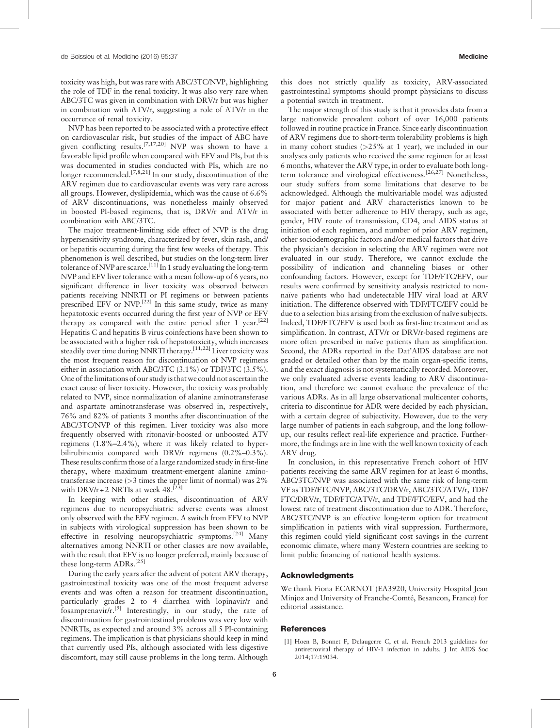toxicity was high, but was rare with ABC/3TC/NVP, highlighting the role of TDF in the renal toxicity. It was also very rare when ABC/3TC was given in combination with DRV/r but was higher in combination with ATV/r, suggesting a role of ATV/r in the occurrence of renal toxicity.

NVP has been reported to be associated with a protective effect on cardiovascular risk, but studies of the impact of ABC have given conflicting results.[7,17,20] NVP was shown to have a favorable lipid profile when compared with EFV and PIs, but this was documented in studies conducted with PIs, which are no longer recommended.<sup>[7,8,21]</sup> In our study, discontinuation of the ARV regimen due to cardiovascular events was very rare across all groups. However, dyslipidemia, which was the cause of 6.6% of ARV discontinuations, was nonetheless mainly observed in boosted PI-based regimens, that is, DRV/r and ATV/r in combination with ABC/3TC.

The major treatment-limiting side effect of NVP is the drug hypersensitivity syndrome, characterized by fever, skin rash, and/ or hepatitis occurring during the first few weeks of therapy. This phenomenon is well described, but studies on the long-term liver tolerance of NVP are scarce.<sup>[11]</sup> In 1 study evaluating the long-term NVP and EFV liver tolerance with a mean follow-up of 6 years, no significant difference in liver toxicity was observed between patients receiving NNRTI or PI regimens or between patients prescribed EFV or NVP.<sup>[22]</sup> In this same study, twice as many hepatotoxic events occurred during the first year of NVP or EFV therapy as compared with the entire period after 1 year.<sup>[22]</sup> Hepatitis C and hepatitis B virus coinfections have been shown to be associated with a higher risk of hepatotoxicity, which increases steadily over time during NNRTI therapy.[11,22] Liver toxicity was the most frequent reason for discontinuation of NVP regimens either in association with ABC/3TC (3.1%) or TDF/3TC (3.5%). One of the limitations of our study is that we could not ascertain the exact cause of liver toxicity. However, the toxicity was probably related to NVP, since normalization of alanine aminotransferase and aspartate aminotransferase was observed in, respectively, 76% and 82% of patients 3 months after discontinuation of the ABC/3TC/NVP of this regimen. Liver toxicity was also more frequently observed with ritonavir-boosted or unboosted ATV regimens (1.8%–2.4%), where it was likely related to hyperbilirubinemia compared with DRV/r regimens (0.2%–0.3%). These results confirm those of a large randomized study in first-line therapy, where maximum treatment-emergent alanine aminotransferase increase  $(>3$  times the upper limit of normal) was  $2\%$ with DRV/r + 2 NRTIs at week  $48.^{[23]}$ 

In keeping with other studies, discontinuation of ARV regimens due to neuropsychiatric adverse events was almost only observed with the EFV regimen. A switch from EFV to NVP in subjects with virological suppression has been shown to be effective in resolving neuropsychiatric symptoms.<sup>[24]</sup> Many alternatives among NNRTI or other classes are now available, with the result that EFV is no longer preferred, mainly because of these long-term ADRs.[25]

During the early years after the advent of potent ARV therapy, gastrointestinal toxicity was one of the most frequent adverse events and was often a reason for treatment discontinuation, particularly grades 2 to 4 diarrhea with lopinavir/r and fosamprenavir/r.[9] Interestingly, in our study, the rate of discontinuation for gastrointestinal problems was very low with NNRTIs, as expected and around 3% across all 5 PI-containing regimens. The implication is that physicians should keep in mind that currently used PIs, although associated with less digestive discomfort, may still cause problems in the long term. Although this does not strictly qualify as toxicity, ARV-associated gastrointestinal symptoms should prompt physicians to discuss a potential switch in treatment.

The major strength of this study is that it provides data from a large nationwide prevalent cohort of over 16,000 patients followed in routine practice in France. Since early discontinuation of ARV regimens due to short-term tolerability problems is high in many cohort studies (>25% at 1 year), we included in our analyses only patients who received the same regimen for at least 6 months, whatever the ARV type, in order to evaluate both longterm tolerance and virological effectiveness.[26,27] Nonetheless, our study suffers from some limitations that deserve to be acknowledged. Although the multivariable model was adjusted for major patient and ARV characteristics known to be associated with better adherence to HIV therapy, such as age, gender, HIV route of transmission, CD4, and AIDS status at initiation of each regimen, and number of prior ARV regimen, other sociodemographic factors and/or medical factors that drive the physician's decision in selecting the ARV regimen were not evaluated in our study. Therefore, we cannot exclude the possibility of indication and channeling biases or other confounding factors. However, except for TDF/FTC/EFV, our results were confirmed by sensitivity analysis restricted to nonnaïve patients who had undetectable HIV viral load at ARV initiation. The difference observed with TDF/FTC/EFV could be due to a selection bias arising from the exclusion of naïve subjects. Indeed, TDF/FTC/EFV is used both as first-line treatment and as simplification. In contrast, ATV/r or DRV/r-based regimens are more often prescribed in naïve patients than as simplification. Second, the ADRs reported in the Dat'AIDS database are not graded or detailed other than by the main organ-specific items, and the exact diagnosis is not systematically recorded. Moreover, we only evaluated adverse events leading to ARV discontinuation, and therefore we cannot evaluate the prevalence of the various ADRs. As in all large observational multicenter cohorts, criteria to discontinue for ADR were decided by each physician, with a certain degree of subjectivity. However, due to the very large number of patients in each subgroup, and the long followup, our results reflect real-life experience and practice. Furthermore, the findings are in line with the well known toxicity of each ARV drug.

In conclusion, in this representative French cohort of HIV patients receiving the same ARV regimen for at least 6 months, ABC/3TC/NVP was associated with the same risk of long-term VF as TDF/FTC/NVP, ABC/3TC/DRV/r, ABC/3TC/ATV/r, TDF/ FTC/DRV/r, TDF/FTC/ATV/r, and TDF/FTC/EFV, and had the lowest rate of treatment discontinuation due to ADR. Therefore, ABC/3TC/NVP is an effective long-term option for treatment simplification in patients with viral suppression. Furthermore, this regimen could yield significant cost savings in the current economic climate, where many Western countries are seeking to limit public financing of national health systems.

#### Acknowledgments

We thank Fiona ECARNOT (EA3920, University Hospital Jean Minjoz and University of Franche-Comté, Besancon, France) for editorial assistance.

#### **References**

[1] Hoen B, Bonnet F, Delaugerre C, et al. French 2013 guidelines for antiretroviral therapy of HIV-1 infection in adults. J Int AIDS Soc 2014;17:19034.